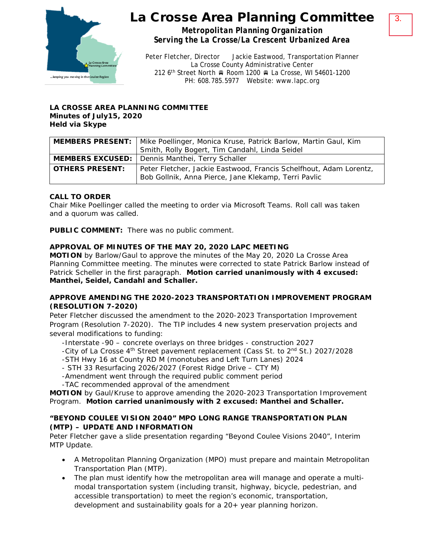

*Metropolitan Planning Organization Serving the La Crosse/La Crescent Urbanized Area*

Peter Fletcher, Director Jackie Eastwood, Transportation Planner La Crosse County Administrative Center 212 6<sup>th</sup> Street North A Room 1200 R La Crosse, WI 54601-1200 PH: 608.785.5977 Website: www.lapc.org

#### **LA CROSSE AREA PLANNING COMMITTEE Minutes of July15, 2020 Held via Skype**

|                        | <b>MEMBERS PRESENT:</b>   Mike Poellinger, Monica Kruse, Patrick Barlow, Martin Gaul, Kim<br>Smith, Rolly Bogert, Tim Candahl, Linda Seidel |
|------------------------|---------------------------------------------------------------------------------------------------------------------------------------------|
|                        | <b>MEMBERS EXCUSED:</b> Dennis Manthei, Terry Schaller                                                                                      |
| <b>OTHERS PRESENT:</b> | Peter Fletcher, Jackie Eastwood, Francis Schelfhout, Adam Lorentz,<br>Bob Gollnik, Anna Pierce, Jane Klekamp, Terri Pavlic                  |

# **CALL TO ORDER**

Chair Mike Poellinger called the meeting to order via Microsoft Teams. Roll call was taken and a quorum was called.

**PUBLIC COMMENT:** There was no public comment.

# **APPROVAL OF MINUTES OF THE MAY 20, 2020 LAPC MEETING**

**MOTION** by Barlow/Gaul to approve the minutes of the May 20, 2020 La Crosse Area Planning Committee meeting. The minutes were corrected to state Patrick Barlow instead of Patrick Scheller in the first paragraph. **Motion carried unanimously with 4 excused: Manthei, Seidel, Candahl and Schaller.**

## **APPROVE AMENDING THE 2020-2023 TRANSPORTATION IMPROVEMENT PROGRAM (RESOLUTION 7-2020)**

Peter Fletcher discussed the amendment to the 2020-2023 Transportation Improvement Program (Resolution 7-2020). The TIP includes 4 new system preservation projects and several modifications to funding:

-Interstate -90 – concrete overlays on three bridges - construction 2027

-City of La Crosse 4<sup>th</sup> Street pavement replacement (Cass St. to 2<sup>nd</sup> St.) 2027/2028

-STH Hwy 16 at County RD M (monotubes and Left Turn Lanes) 2024

- STH 33 Resurfacing 2026/2027 (Forest Ridge Drive CTY M)
- -Amendment went through the required public comment period

-TAC recommended approval of the amendment

**MOTION** by Gaul/Kruse to approve amending the 2020-2023 Transportation Improvement Program. **Motion carried unanimously with 2 excused: Manthei and Schaller.** 

# **"BEYOND COULEE VISION 2040" MPO LONG RANGE TRANSPORTATION PLAN (MTP) – UPDATE AND INFORMATION**

Peter Fletcher gave a slide presentation regarding "Beyond Coulee Visions 2040", Interim MTP Update.

- A Metropolitan Planning Organization (MPO) must prepare and maintain Metropolitan Transportation Plan (MTP).
- The plan must identify how the metropolitan area will manage and operate a multimodal transportation system (including transit, highway, bicycle, pedestrian, and accessible transportation) to meet the region's economic, transportation, development and sustainability goals for a 20+ year planning horizon.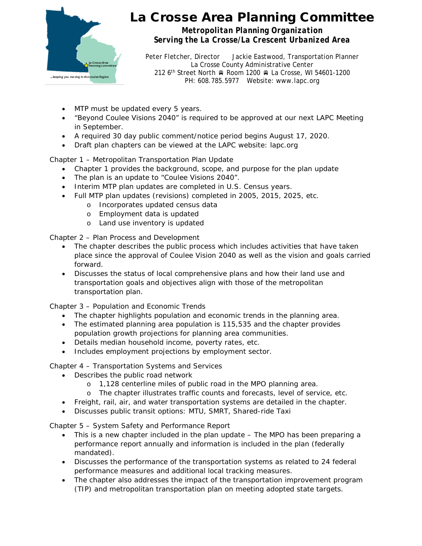

*Metropolitan Planning Organization Serving the La Crosse/La Crescent Urbanized Area*

Peter Fletcher, Director Jackie Eastwood, Transportation Planner La Crosse County Administrative Center 212 6<sup>th</sup> Street North Room 1200 R La Crosse, WI 54601-1200 PH: 608.785.5977 Website: www.lapc.org

- MTP must be updated every 5 years.
- "Beyond Coulee Visions 2040" is required to be approved at our next LAPC Meeting in September.
- A required 30 day public comment/notice period begins August 17, 2020.
- Draft plan chapters can be viewed at the LAPC website: lapc.org

Chapter 1 – Metropolitan Transportation Plan Update

- Chapter 1 provides the background, scope, and purpose for the plan update
- The plan is an update to "Coulee Visions 2040".
- Interim MTP plan updates are completed in U.S. Census years.
- Full MTP plan updates (revisions) completed in 2005, 2015, 2025, etc.
	- o Incorporates updated census data
	- o Employment data is updated
	- o Land use inventory is updated

Chapter 2 – Plan Process and Development

- The chapter describes the public process which includes activities that have taken place since the approval of *Coulee Vision 2040* as well as the vision and goals carried forward.
- Discusses the status of local comprehensive plans and how their land use and transportation goals and objectives align with those of the metropolitan transportation plan.

Chapter 3 – Population and Economic Trends

- The chapter highlights population and economic trends in the planning area.
- The estimated planning area population is 115,535 and the chapter provides population growth projections for planning area communities.
- Details median household income, poverty rates, etc.
- Includes employment projections by employment sector.

Chapter 4 – Transportation Systems and Services

- Describes the public road network
	- o 1,128 centerline miles of public road in the MPO planning area.
	- o The chapter illustrates traffic counts and forecasts, level of service, etc.
- Freight, rail, air, and water transportation systems are detailed in the chapter.
- Discusses public transit options: MTU, SMRT, Shared-ride Taxi

Chapter 5 – System Safety and Performance Report

- This is a new chapter included in the plan update The MPO has been preparing a performance report annually and information is included in the plan (federally mandated).
- Discusses the performance of the transportation systems as related to 24 federal performance measures and additional local tracking measures.
- The chapter also addresses the impact of the transportation improvement program (TIP) and metropolitan transportation plan on meeting adopted state targets.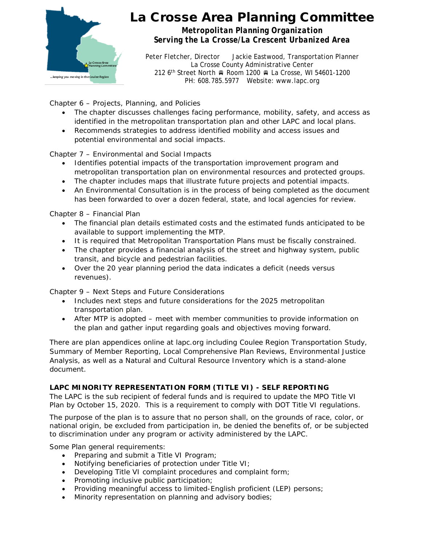

*Metropolitan Planning Organization Serving the La Crosse/La Crescent Urbanized Area*

Peter Fletcher, Director Jackie Eastwood, Transportation Planner La Crosse County Administrative Center 212 6<sup>th</sup> Street North Room 1200 R La Crosse, WI 54601-1200 PH: 608.785.5977 Website: www.lapc.org

Chapter 6 – Projects, Planning, and Policies

- The chapter discusses challenges facing performance, mobility, safety, and access as identified in the metropolitan transportation plan and other LAPC and local plans.
- Recommends strategies to address identified mobility and access issues and potential environmental and social impacts.

Chapter 7 – Environmental and Social Impacts

- Identifies potential impacts of the transportation improvement program and metropolitan transportation plan on environmental resources and protected groups.
- The chapter includes maps that illustrate future projects and potential impacts.
- An Environmental Consultation is in the process of being completed as the document has been forwarded to over a dozen federal, state, and local agencies for review.

Chapter 8 – Financial Plan

- The financial plan details estimated costs and the estimated funds anticipated to be available to support implementing the MTP.
- It is required that Metropolitan Transportation Plans must be fiscally constrained.
- The chapter provides a financial analysis of the street and highway system, public transit, and bicycle and pedestrian facilities.
- Over the 20 year planning period the data indicates a deficit (needs versus revenues).

Chapter 9 – Next Steps and Future Considerations

- Includes next steps and future considerations for the 2025 metropolitan transportation plan.
- After MTP is adopted meet with member communities to provide information on the plan and gather input regarding goals and objectives moving forward.

There are plan appendices online at lapc.org including Coulee Region Transportation Study, Summary of Member Reporting, Local Comprehensive Plan Reviews, Environmental Justice Analysis, as well as a Natural and Cultural Resource Inventory which is a stand-alone document.

# **LAPC MINORITY REPRESENTATION FORM (TITLE VI) - SELF REPORTING**

The LAPC is the sub recipient of federal funds and is required to update the MPO Title VI Plan by October 15, 2020. This is a requirement to comply with DOT Title VI regulations.

The purpose of the plan is to assure that no person shall, on the grounds of race, color, or national origin, be excluded from participation in, be denied the benefits of, or be subjected to discrimination under any program or activity administered by the LAPC.

Some Plan general requirements:

- Preparing and submit a Title VI Program;
- Notifying beneficiaries of protection under Title VI;
- Developing Title VI complaint procedures and complaint form;
- Promoting inclusive public participation;
- Providing meaningful access to limited-English proficient (LEP) persons;
- Minority representation on planning and advisory bodies;